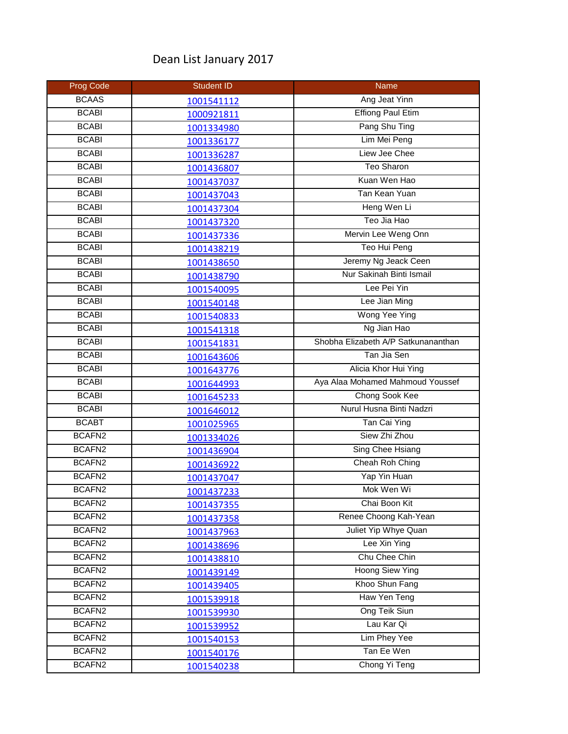## Dean List January 2017

| <b>Prog Code</b>   | <b>Student ID</b> | Name                                |
|--------------------|-------------------|-------------------------------------|
| <b>BCAAS</b>       | 1001541112        | Ang Jeat Yinn                       |
| <b>BCABI</b>       | 1000921811        | <b>Effiong Paul Etim</b>            |
| <b>BCABI</b>       | 1001334980        | Pang Shu Ting                       |
| <b>BCABI</b>       | 1001336177        | Lim Mei Peng                        |
| <b>BCABI</b>       | 1001336287        | Liew Jee Chee                       |
| <b>BCABI</b>       | 1001436807        | <b>Teo Sharon</b>                   |
| <b>BCABI</b>       | 1001437037        | Kuan Wen Hao                        |
| <b>BCABI</b>       | 1001437043        | Tan Kean Yuan                       |
| <b>BCABI</b>       | 1001437304        | Heng Wen Li                         |
| <b>BCABI</b>       | 1001437320        | Teo Jia Hao                         |
| <b>BCABI</b>       | 1001437336        | Mervin Lee Weng Onn                 |
| <b>BCABI</b>       | 1001438219        | Teo Hui Peng                        |
| <b>BCABI</b>       | 1001438650        | Jeremy Ng Jeack Ceen                |
| <b>BCABI</b>       | 1001438790        | Nur Sakinah Binti Ismail            |
| <b>BCABI</b>       | 1001540095        | Lee Pei Yin                         |
| <b>BCABI</b>       | 1001540148        | Lee Jian Ming                       |
| <b>BCABI</b>       | 1001540833        | Wong Yee Ying                       |
| <b>BCABI</b>       | 1001541318        | Ng Jian Hao                         |
| <b>BCABI</b>       | 1001541831        | Shobha Elizabeth A/P Satkunananthan |
| <b>BCABI</b>       | 1001643606        | Tan Jia Sen                         |
| <b>BCABI</b>       | 1001643776        | Alicia Khor Hui Ying                |
| <b>BCABI</b>       | 1001644993        | Aya Alaa Mohamed Mahmoud Youssef    |
| <b>BCABI</b>       | 1001645233        | Chong Sook Kee                      |
| <b>BCABI</b>       | 1001646012        | Nurul Husna Binti Nadzri            |
| <b>BCABT</b>       | 1001025965        | Tan Cai Ying                        |
| BCAFN2             | 1001334026        | Siew Zhi Zhou                       |
| BCAFN2             | 1001436904        | Sing Chee Hsiang                    |
| BCAFN2             | 1001436922        | Cheah Roh Ching                     |
| BCAFN <sub>2</sub> | 1001437047        | Yap Yin Huan                        |
| BCAFN <sub>2</sub> | 1001437233        | Mok Wen Wi                          |
| BCAFN2             | 1001437355        | Chai Boon Kit                       |
| BCAFN2             | 1001437358        | Renee Choong Kah-Yean               |
| BCAFN2             | 1001437963        | Juliet Yip Whye Quan                |
| BCAFN <sub>2</sub> | 1001438696        | Lee Xin Ying                        |
| BCAFN2             | 1001438810        | Chu Chee Chin                       |
| BCAFN2             | 1001439149        | <b>Hoong Siew Ying</b>              |
| BCAFN <sub>2</sub> | 1001439405        | Khoo Shun Fang                      |
| BCAFN2             | 1001539918        | Haw Yen Teng                        |
| BCAFN2             | 1001539930        | Ong Teik Siun                       |
| BCAFN2             | 1001539952        | Lau Kar Qi                          |
| BCAFN2             | 1001540153        | Lim Phey Yee                        |
| BCAFN <sub>2</sub> | 1001540176        | Tan Ee Wen                          |
| BCAFN2             | 1001540238        | Chong Yi Teng                       |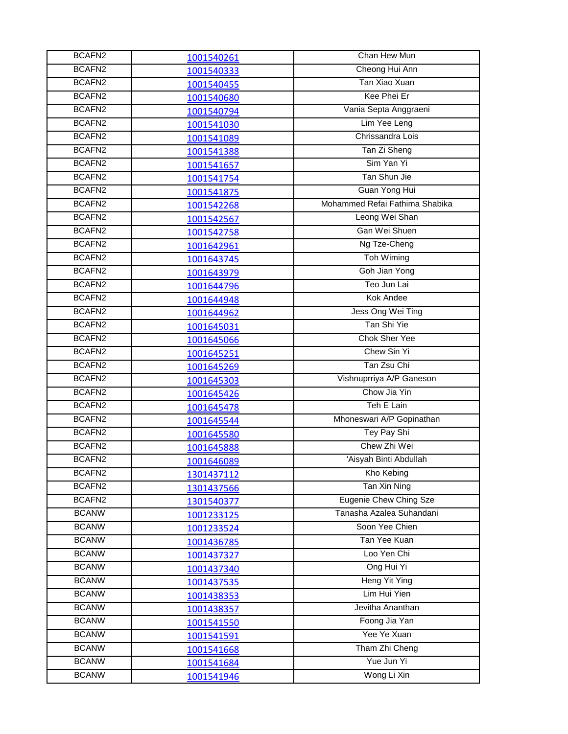| BCAFN2             | 1001540261 | Chan Hew Mun                   |
|--------------------|------------|--------------------------------|
| BCAFN <sub>2</sub> | 1001540333 | Cheong Hui Ann                 |
| BCAFN2             | 1001540455 | Tan Xiao Xuan                  |
| BCAFN <sub>2</sub> | 1001540680 | Kee Phei Er                    |
| BCAFN <sub>2</sub> | 1001540794 | Vania Septa Anggraeni          |
| BCAFN2             | 1001541030 | Lim Yee Leng                   |
| BCAFN2             | 1001541089 | Chrissandra Lois               |
| BCAFN <sub>2</sub> | 1001541388 | Tan Zi Sheng                   |
| BCAFN <sub>2</sub> | 1001541657 | Sim Yan Yi                     |
| BCAFN <sub>2</sub> | 1001541754 | Tan Shun Jie                   |
| BCAFN2             | 1001541875 | Guan Yong Hui                  |
| BCAFN2             | 1001542268 | Mohammed Refai Fathima Shabika |
| BCAFN <sub>2</sub> | 1001542567 | Leong Wei Shan                 |
| BCAFN <sub>2</sub> | 1001542758 | Gan Wei Shuen                  |
| BCAFN <sub>2</sub> | 1001642961 | Ng Tze-Cheng                   |
| BCAFN2             | 1001643745 | Toh Wiming                     |
| BCAFN <sub>2</sub> | 1001643979 | Goh Jian Yong                  |
| BCAFN2             | 1001644796 | Teo Jun Lai                    |
| BCAFN2             | 1001644948 | <b>Kok Andee</b>               |
| BCAFN <sub>2</sub> | 1001644962 | Jess Ong Wei Ting              |
| BCAFN2             | 1001645031 | Tan Shi Yie                    |
| BCAFN <sub>2</sub> | 1001645066 | Chok Sher Yee                  |
| BCAFN <sub>2</sub> | 1001645251 | Chew Sin Yi                    |
| BCAFN2             | 1001645269 | Tan Zsu Chi                    |
| BCAFN2             | 1001645303 | Vishnuprriya A/P Ganeson       |
| BCAFN2             | 1001645426 | Chow Jia Yin                   |
| BCAFN <sub>2</sub> | 1001645478 | Teh E Lain                     |
| BCAFN <sub>2</sub> | 1001645544 | Mhoneswari A/P Gopinathan      |
| BCAFN <sub>2</sub> | 1001645580 | Tey Pay Shi                    |
| BCAFN <sub>2</sub> | 1001645888 | Chew Zhi Wei                   |
| BCAFN <sub>2</sub> | 1001646089 | 'Aisyah Binti Abdullah         |
| BCAFN <sub>2</sub> | 1301437112 | Kho Kebing                     |
| BCAFN <sub>2</sub> | 1301437566 | Tan Xin Ning                   |
| BCAFN <sub>2</sub> | 1301540377 | Eugenie Chew Ching Sze         |
| <b>BCANW</b>       | 1001233125 | Tanasha Azalea Suhandani       |
| <b>BCANW</b>       | 1001233524 | Soon Yee Chien                 |
| <b>BCANW</b>       | 1001436785 | Tan Yee Kuan                   |
| <b>BCANW</b>       | 1001437327 | Loo Yen Chi                    |
| <b>BCANW</b>       | 1001437340 | Ong Hui Yi                     |
| <b>BCANW</b>       | 1001437535 | Heng Yit Ying                  |
| <b>BCANW</b>       | 1001438353 | Lim Hui Yien                   |
| <b>BCANW</b>       | 1001438357 | Jevitha Ananthan               |
| <b>BCANW</b>       | 1001541550 | Foong Jia Yan                  |
| <b>BCANW</b>       | 1001541591 | Yee Ye Xuan                    |
| <b>BCANW</b>       | 1001541668 | Tham Zhi Cheng                 |
| <b>BCANW</b>       | 1001541684 | Yue Jun Yi                     |
| <b>BCANW</b>       | 1001541946 | Wong Li Xin                    |